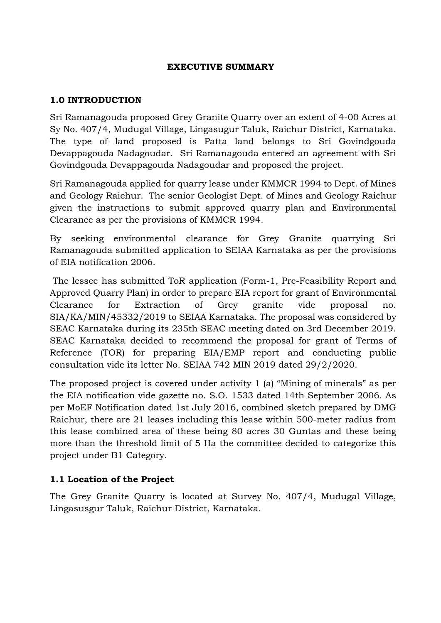### **EXECUTIVE SUMMARY**

### **1.0 INTRODUCTION**

Sri Ramanagouda proposed Grey Granite Quarry over an extent of 4-00 Acres at Sy No. 407/4, Mudugal Village, Lingasugur Taluk, Raichur District, Karnataka. The type of land proposed is Patta land belongs to Sri Govindgouda Devappagouda Nadagoudar. Sri Ramanagouda entered an agreement with Sri Govindgouda Devappagouda Nadagoudar and proposed the project.

Sri Ramanagouda applied for quarry lease under KMMCR 1994 to Dept. of Mines and Geology Raichur. The senior Geologist Dept. of Mines and Geology Raichur given the instructions to submit approved quarry plan and Environmental Clearance as per the provisions of KMMCR 1994.

By seeking environmental clearance for Grey Granite quarrying Sri Ramanagouda submitted application to SEIAA Karnataka as per the provisions of EIA notification 2006.

The lessee has submitted ToR application (Form-1, Pre-Feasibility Report and Approved Quarry Plan) in order to prepare EIA report for grant of Environmental Clearance for Extraction of Grey granite vide proposal no. SIA/KA/MIN/45332/2019 to SEIAA Karnataka. The proposal was considered by SEAC Karnataka during its 235th SEAC meeting dated on 3rd December 2019. SEAC Karnataka decided to recommend the proposal for grant of Terms of Reference (TOR) for preparing EIA/EMP report and conducting public consultation vide its letter No. SEIAA 742 MIN 2019 dated 29/2/2020.

The proposed project is covered under activity 1 (a) "Mining of minerals" as per the EIA notification vide gazette no. S.O. 1533 dated 14th September 2006. As per MoEF Notification dated 1st July 2016, combined sketch prepared by DMG Raichur, there are 21 leases including this lease within 500-meter radius from this lease combined area of these being 80 acres 30 Guntas and these being more than the threshold limit of 5 Ha the committee decided to categorize this project under B1 Category.

## **1.1 Location of the Project**

The Grey Granite Quarry is located at Survey No. 407/4, Mudugal Village, Lingasusgur Taluk, Raichur District, Karnataka.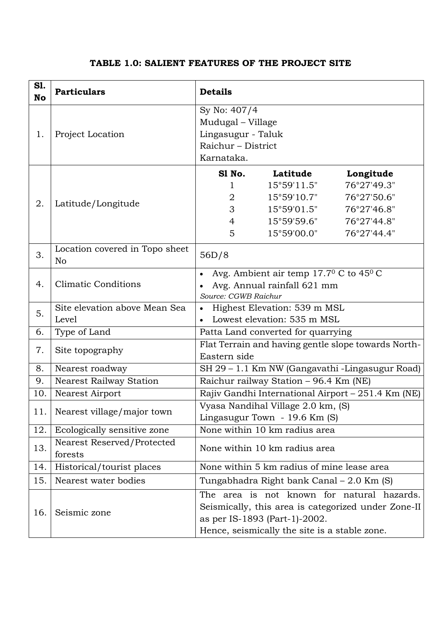| <b>S1.</b><br><b>No</b> | <b>Particulars</b>                               | <b>Details</b>                                                           |                      |             |  |
|-------------------------|--------------------------------------------------|--------------------------------------------------------------------------|----------------------|-------------|--|
| 1.                      | Project Location                                 | Sy No: 407/4                                                             |                      |             |  |
|                         |                                                  | Mudugal - Village                                                        |                      |             |  |
|                         |                                                  | Lingasugur - Taluk                                                       |                      |             |  |
|                         |                                                  | Raichur - District                                                       |                      |             |  |
|                         |                                                  | Karnataka.                                                               |                      |             |  |
| 2.                      | Latitude/Longitude                               | S1 No.                                                                   | Latitude             | Longitude   |  |
|                         |                                                  | 1                                                                        | $15^{\circ}59'11.5"$ | 76°27'49.3" |  |
|                         |                                                  | 2                                                                        | $15^{\circ}59'10.7"$ | 76°27'50.6" |  |
|                         |                                                  | 3                                                                        | $15^{\circ}59'01.5"$ | 76°27'46.8" |  |
|                         |                                                  | 4                                                                        | $15^{\circ}59'59.6"$ | 76°27'44.8" |  |
|                         |                                                  | 5                                                                        | 15°59'00.0"          | 76°27'44.4" |  |
| 3.                      | Location covered in Topo sheet<br>N <sub>o</sub> | 56D/8                                                                    |                      |             |  |
| 4.                      | <b>Climatic Conditions</b>                       | Avg. Ambient air temp 17.70 C to 450 C<br>$\bullet$                      |                      |             |  |
|                         |                                                  | Avg. Annual rainfall 621 mm                                              |                      |             |  |
|                         |                                                  | Source: CGWB Raichur                                                     |                      |             |  |
| 5.                      | Site elevation above Mean Sea                    | Highest Elevation: 539 m MSL<br>$\bullet$<br>Lowest elevation: 535 m MSL |                      |             |  |
|                         | Level                                            |                                                                          |                      |             |  |
| 6.                      | Type of Land                                     | Patta Land converted for quarrying                                       |                      |             |  |
| 7.                      | Site topography                                  | Flat Terrain and having gentle slope towards North-                      |                      |             |  |
|                         |                                                  | Eastern side                                                             |                      |             |  |
| 8.                      | Nearest roadway                                  | SH 29 - 1.1 Km NW (Gangavathi -Lingasugur Road)                          |                      |             |  |
| 9.                      | <b>Nearest Railway Station</b>                   | Raichur railway Station - 96.4 Km (NE)                                   |                      |             |  |
| 10.                     | Nearest Airport                                  | Rajiv Gandhi International Airport - 251.4 Km (NE)                       |                      |             |  |
| 11.                     | Nearest village/major town                       | Vyasa Nandihal Village 2.0 km, (S)<br>Lingasugur Town - 19.6 Km (S)      |                      |             |  |
| 12.                     | Ecologically sensitive zone                      | None within 10 km radius area                                            |                      |             |  |
|                         | Nearest Reserved/Protected                       | None within 10 km radius area                                            |                      |             |  |
| 13.                     | forests                                          |                                                                          |                      |             |  |
| 14.                     | Historical/tourist places                        | None within 5 km radius of mine lease area                               |                      |             |  |
| 15.                     | Nearest water bodies                             | Tungabhadra Right bank Canal – 2.0 Km (S)                                |                      |             |  |
| 16.                     | Seismic zone                                     | The area is not known for natural hazards.                               |                      |             |  |
|                         |                                                  | Seismically, this area is categorized under Zone-II                      |                      |             |  |
|                         |                                                  | as per IS-1893 (Part-1)-2002.                                            |                      |             |  |
|                         |                                                  | Hence, seismically the site is a stable zone.                            |                      |             |  |

# **TABLE 1.0: SALIENT FEATURES OF THE PROJECT SITE**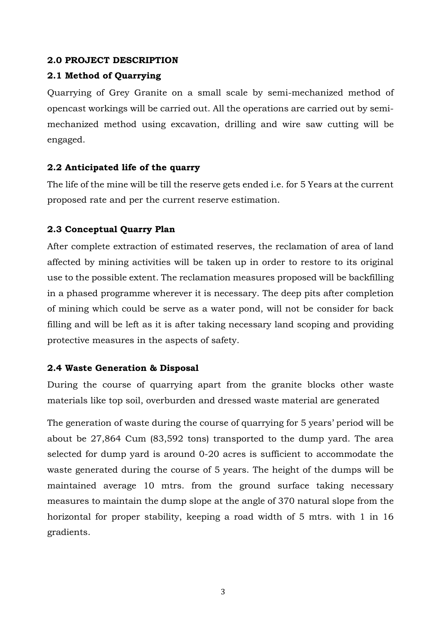#### **2.0 PROJECT DESCRIPTION**

### **2.1 Method of Quarrying**

Quarrying of Grey Granite on a small scale by semi-mechanized method of opencast workings will be carried out. All the operations are carried out by semimechanized method using excavation, drilling and wire saw cutting will be engaged.

### **2.2 Anticipated life of the quarry**

The life of the mine will be till the reserve gets ended i.e. for 5 Years at the current proposed rate and per the current reserve estimation.

## **2.3 Conceptual Quarry Plan**

After complete extraction of estimated reserves, the reclamation of area of land affected by mining activities will be taken up in order to restore to its original use to the possible extent. The reclamation measures proposed will be backfilling in a phased programme wherever it is necessary. The deep pits after completion of mining which could be serve as a water pond, will not be consider for back filling and will be left as it is after taking necessary land scoping and providing protective measures in the aspects of safety.

#### **2.4 Waste Generation & Disposal**

During the course of quarrying apart from the granite blocks other waste materials like top soil, overburden and dressed waste material are generated

The generation of waste during the course of quarrying for 5 years' period will be about be 27,864 Cum (83,592 tons) transported to the dump yard. The area selected for dump yard is around 0-20 acres is sufficient to accommodate the waste generated during the course of 5 years. The height of the dumps will be maintained average 10 mtrs. from the ground surface taking necessary measures to maintain the dump slope at the angle of 370 natural slope from the horizontal for proper stability, keeping a road width of 5 mtrs. with 1 in 16 gradients.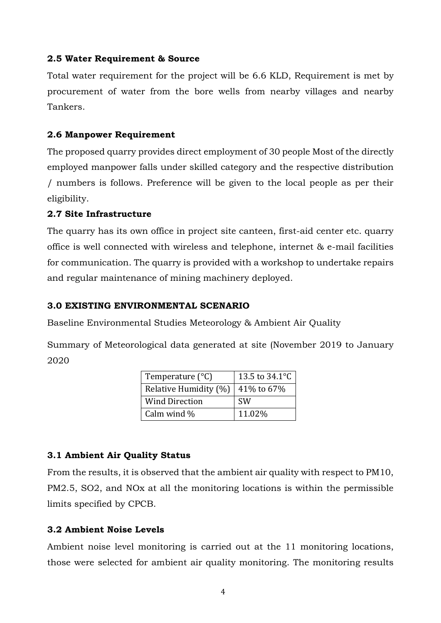### **2.5 Water Requirement & Source**

Total water requirement for the project will be 6.6 KLD, Requirement is met by procurement of water from the bore wells from nearby villages and nearby Tankers.

### **2.6 Manpower Requirement**

The proposed quarry provides direct employment of 30 people Most of the directly employed manpower falls under skilled category and the respective distribution / numbers is follows. Preference will be given to the local people as per their eligibility.

### **2.7 Site Infrastructure**

The quarry has its own office in project site canteen, first-aid center etc. quarry office is well connected with wireless and telephone, internet & e-mail facilities for communication. The quarry is provided with a workshop to undertake repairs and regular maintenance of mining machinery deployed.

### **3.0 EXISTING ENVIRONMENTAL SCENARIO**

Baseline Environmental Studies Meteorology & Ambient Air Quality

Summary of Meteorological data generated at site (November 2019 to January 2020

| Temperature $(^{\circ}C)$ | 13.5 to 34.1°C |  |
|---------------------------|----------------|--|
| Relative Humidity (%)     | 41% to 67%     |  |
| <b>Wind Direction</b>     | <b>SW</b>      |  |
| Calm wind $\%$            | 11.02%         |  |

## **3.1 Ambient Air Quality Status**

From the results, it is observed that the ambient air quality with respect to PM10, PM2.5, SO2, and NOx at all the monitoring locations is within the permissible limits specified by CPCB.

## **3.2 Ambient Noise Levels**

Ambient noise level monitoring is carried out at the 11 monitoring locations, those were selected for ambient air quality monitoring. The monitoring results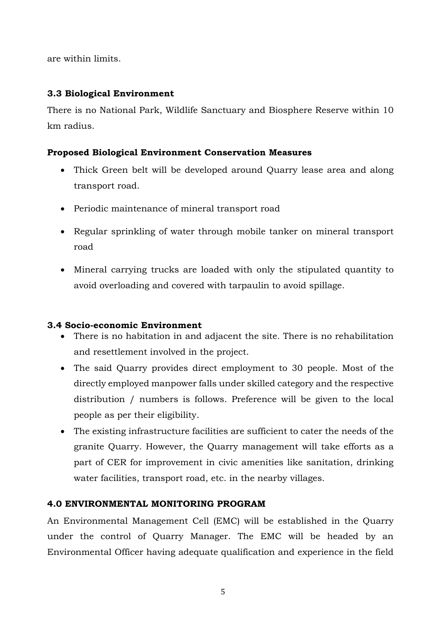are within limits.

# **3.3 Biological Environment**

There is no National Park, Wildlife Sanctuary and Biosphere Reserve within 10 km radius.

## **Proposed Biological Environment Conservation Measures**

- Thick Green belt will be developed around Quarry lease area and along transport road.
- Periodic maintenance of mineral transport road
- Regular sprinkling of water through mobile tanker on mineral transport road
- Mineral carrying trucks are loaded with only the stipulated quantity to avoid overloading and covered with tarpaulin to avoid spillage.

## **3.4 Socio-economic Environment**

- There is no habitation in and adjacent the site. There is no rehabilitation and resettlement involved in the project.
- The said Quarry provides direct employment to 30 people. Most of the directly employed manpower falls under skilled category and the respective distribution / numbers is follows. Preference will be given to the local people as per their eligibility.
- The existing infrastructure facilities are sufficient to cater the needs of the granite Quarry. However, the Quarry management will take efforts as a part of CER for improvement in civic amenities like sanitation, drinking water facilities, transport road, etc. in the nearby villages.

# **4.0 ENVIRONMENTAL MONITORING PROGRAM**

An Environmental Management Cell (EMC) will be established in the Quarry under the control of Quarry Manager. The EMC will be headed by an Environmental Officer having adequate qualification and experience in the field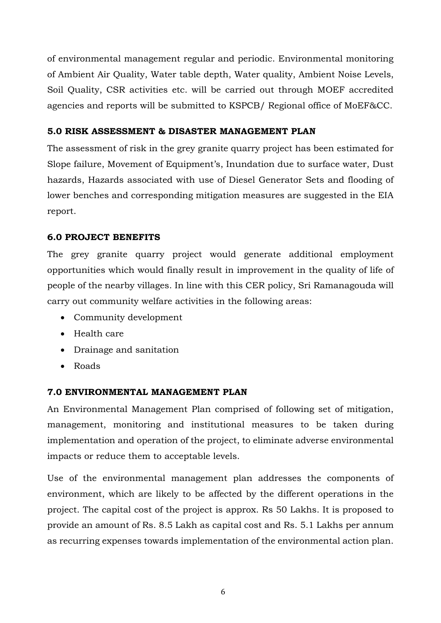of environmental management regular and periodic. Environmental monitoring of Ambient Air Quality, Water table depth, Water quality, Ambient Noise Levels, Soil Quality, CSR activities etc. will be carried out through MOEF accredited agencies and reports will be submitted to KSPCB/ Regional office of MoEF&CC.

## **5.0 RISK ASSESSMENT & DISASTER MANAGEMENT PLAN**

The assessment of risk in the grey granite quarry project has been estimated for Slope failure, Movement of Equipment's, Inundation due to surface water, Dust hazards, Hazards associated with use of Diesel Generator Sets and flooding of lower benches and corresponding mitigation measures are suggested in the EIA report.

## **6.0 PROJECT BENEFITS**

The grey granite quarry project would generate additional employment opportunities which would finally result in improvement in the quality of life of people of the nearby villages. In line with this CER policy, Sri Ramanagouda will carry out community welfare activities in the following areas:

- Community development
- Health care
- Drainage and sanitation
- Roads

## **7.0 ENVIRONMENTAL MANAGEMENT PLAN**

An Environmental Management Plan comprised of following set of mitigation, management, monitoring and institutional measures to be taken during implementation and operation of the project, to eliminate adverse environmental impacts or reduce them to acceptable levels.

Use of the environmental management plan addresses the components of environment, which are likely to be affected by the different operations in the project. The capital cost of the project is approx. Rs 50 Lakhs. It is proposed to provide an amount of Rs. 8.5 Lakh as capital cost and Rs. 5.1 Lakhs per annum as recurring expenses towards implementation of the environmental action plan.